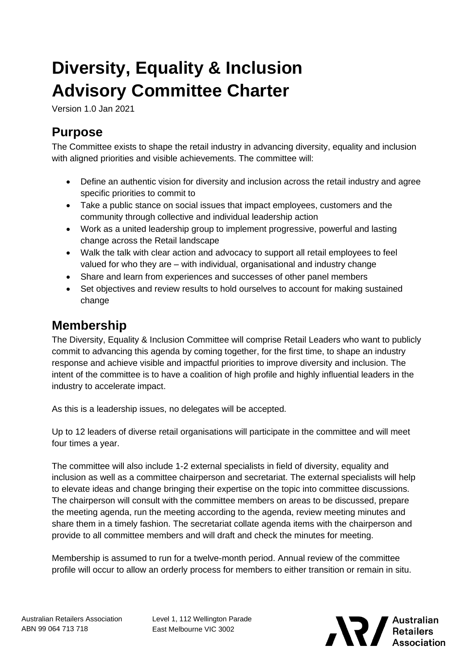# **Diversity, Equality & Inclusion Advisory Committee Charter**

Version 1.0 Jan 2021

### **Purpose**

The Committee exists to shape the retail industry in advancing diversity, equality and inclusion with aligned priorities and visible achievements. The committee will:

- Define an authentic vision for diversity and inclusion across the retail industry and agree specific priorities to commit to
- Take a public stance on social issues that impact employees, customers and the community through collective and individual leadership action
- Work as a united leadership group to implement progressive, powerful and lasting change across the Retail landscape
- Walk the talk with clear action and advocacy to support all retail employees to feel valued for who they are – with individual, organisational and industry change
- Share and learn from experiences and successes of other panel members
- Set objectives and review results to hold ourselves to account for making sustained change

#### **Membership**

The Diversity, Equality & Inclusion Committee will comprise Retail Leaders who want to publicly commit to advancing this agenda by coming together, for the first time, to shape an industry response and achieve visible and impactful priorities to improve diversity and inclusion. The intent of the committee is to have a coalition of high profile and highly influential leaders in the industry to accelerate impact.

As this is a leadership issues, no delegates will be accepted.

Up to 12 leaders of diverse retail organisations will participate in the committee and will meet four times a year.

The committee will also include 1-2 external specialists in field of diversity, equality and inclusion as well as a committee chairperson and secretariat. The external specialists will help to elevate ideas and change bringing their expertise on the topic into committee discussions. The chairperson will consult with the committee members on areas to be discussed, prepare the meeting agenda, run the meeting according to the agenda, review meeting minutes and share them in a timely fashion. The secretariat collate agenda items with the chairperson and provide to all committee members and will draft and check the minutes for meeting.

Membership is assumed to run for a twelve-month period. Annual review of the committee profile will occur to allow an orderly process for members to either transition or remain in situ.

Level 1, 112 Wellington Parade East Melbourne VIC 3002